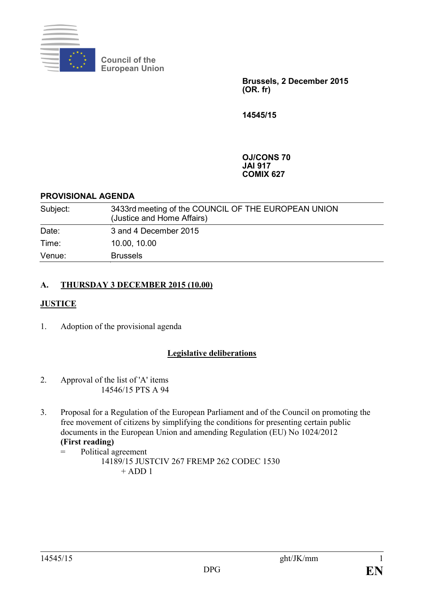

**Council of the European Union**

> **Brussels, 2 December 2015 (OR. fr)**

**14545/15**

**OJ/CONS 70 JAI 917 COMIX 627**

### **PROVISIONAL AGENDA**

| Subject: | 3433rd meeting of the COUNCIL OF THE EUROPEAN UNION<br>(Justice and Home Affairs) |
|----------|-----------------------------------------------------------------------------------|
| Date:    | 3 and 4 December 2015                                                             |
| Time:    | 10.00, 10.00                                                                      |
| Venue:   | <b>Brussels</b>                                                                   |

# **A. THURSDAY 3 DECEMBER 2015 (10.00)**

# **JUSTICE**

1. Adoption of the provisional agenda

# **Legislative deliberations**

- 2. Approval of the list of 'A' items 14546/15 PTS A 94
- 3. Proposal for a Regulation of the European Parliament and of the Council on promoting the free movement of citizens by simplifying the conditions for presenting certain public documents in the European Union and amending Regulation (EU) No 1024/2012

### **(First reading)**

= Political agreement 14189/15 JUSTCIV 267 FREMP 262 CODEC 1530  $+$  ADD 1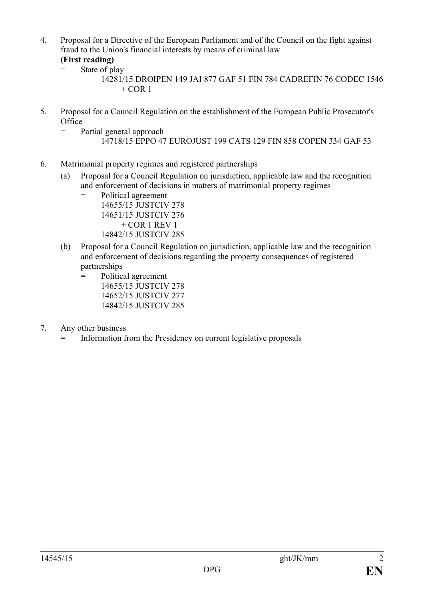- 4. Proposal for a Directive of the European Parliament and of the Council on the fight against fraud to the Union's financial interests by means of criminal law
	- **(First reading)**
	- $=$  State of play

- 5. Proposal for a Council Regulation on the establishment of the European Public Prosecutor's **Office** 
	- = Partial general approach 14718/15 EPPO 47 EUROJUST 199 CATS 129 FIN 858 COPEN 334 GAF 53
- 6. Matrimonial property regimes and registered partnerships
	- (a) Proposal for a Council Regulation on jurisdiction, applicable law and the recognition and enforcement of decisions in matters of matrimonial property regimes
		- = Political agreement 14655/15 JUSTCIV 278 14651/15 JUSTCIV 276  $+$  COR 1 REV 1 14842/15 JUSTCIV 285
	- (b) Proposal for a Council Regulation on jurisdiction, applicable law and the recognition and enforcement of decisions regarding the property consequences of registered partnerships
		- = Political agreement 14655/15 JUSTCIV 278 14652/15 JUSTCIV 277 14842/15 JUSTCIV 285
- 7. Any other business
	- Information from the Presidency on current legislative proposals

<sup>14281/15</sup> DROIPEN 149 JAI 877 GAF 51 FIN 784 CADREFIN 76 CODEC 1546  $+$  COR 1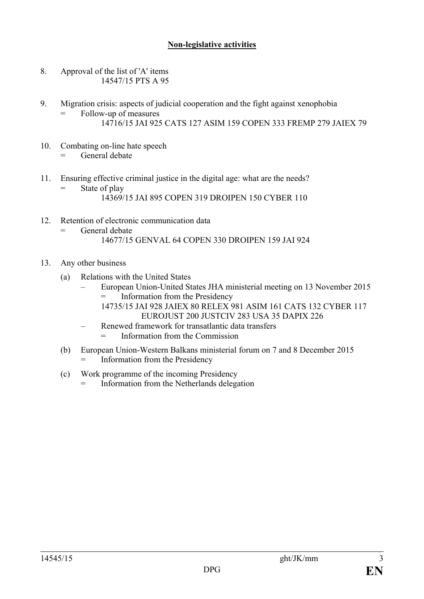## **Non-legislative activities**

- 8. Approval of the list of 'A' items 14547/15 PTS A 95
- 9. Migration crisis: aspects of judicial cooperation and the fight against xenophobia Follow-up of measures 14716/15 JAI 925 CATS 127 ASIM 159 COPEN 333 FREMP 279 JAIEX 79
- 10. Combating on-line hate speech General debate
- 11. Ensuring effective criminal justice in the digital age: what are the needs? State of play 14369/15 JAI 895 COPEN 319 DROIPEN 150 CYBER 110
- 12. Retention of electronic communication data = General debate 14677/15 GENVAL 64 COPEN 330 DROIPEN 159 JAI 924
- 13. Any other business
	- (a) Relations with the United States
		- European Union-United States JHA ministerial meeting on 13 November 2015 Information from the Presidency 14735/15 JAI 928 JAIEX 80 RELEX 981 ASIM 161 CATS 132 CYBER 117
			- EUROJUST 200 JUSTCIV 283 USA 35 DAPIX 226
		- Renewed framework for transatlantic data transfers = Information from the Commission
	- (b) European Union-Western Balkans ministerial forum on 7 and 8 December 2015 Information from the Presidency
	- (c) Work programme of the incoming Presidency
		- = Information from the Netherlands delegation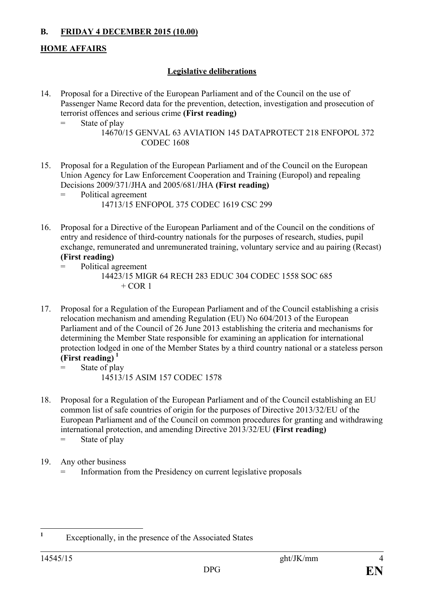# **B. FRIDAY 4 DECEMBER 2015 (10.00)**

# **HOME AFFAIRS**

## **Legislative deliberations**

- 14. Proposal for a Directive of the European Parliament and of the Council on the use of Passenger Name Record data for the prevention, detection, investigation and prosecution of terrorist offences and serious crime **(First reading)**
	- = State of play

15. Proposal for a Regulation of the European Parliament and of the Council on the European Union Agency for Law Enforcement Cooperation and Training (Europol) and repealing Decisions 2009/371/JHA and 2005/681/JHA **(First reading)**

- 16. Proposal for a Directive of the European Parliament and of the Council on the conditions of entry and residence of third-country nationals for the purposes of research, studies, pupil exchange, remunerated and unremunerated training, voluntary service and au pairing (Recast) **(First reading)**
	- Political agreement 14423/15 MIGR 64 RECH 283 EDUC 304 CODEC 1558 SOC 685  $+$  COR 1
- 17. Proposal for a Regulation of the European Parliament and of the Council establishing a crisis relocation mechanism and amending Regulation (EU) No 604/2013 of the European Parliament and of the Council of 26 June 2013 establishing the criteria and mechanisms for determining the Member State responsible for examining an application for international protection lodged in one of the Member States by a third country national or a stateless person **(First reading) [1](#page-3-0)**
	- = State of play 14513/15 ASIM 157 CODEC 1578
- 18. Proposal for a Regulation of the European Parliament and of the Council establishing an EU common list of safe countries of origin for the purposes of Directive 2013/32/EU of the European Parliament and of the Council on common procedures for granting and withdrawing international protection, and amending Directive 2013/32/EU **(First reading)**
	- = State of play
- 19. Any other business
	- Information from the Presidency on current legislative proposals

<sup>14670/15</sup> GENVAL 63 AVIATION 145 DATAPROTECT 218 ENFOPOL 372 CODEC 1608

<sup>=</sup> Political agreement 14713/15 ENFOPOL 375 CODEC 1619 CSC 299

<span id="page-3-0"></span>**<sup>1</sup>** Exceptionally, in the presence of the Associated States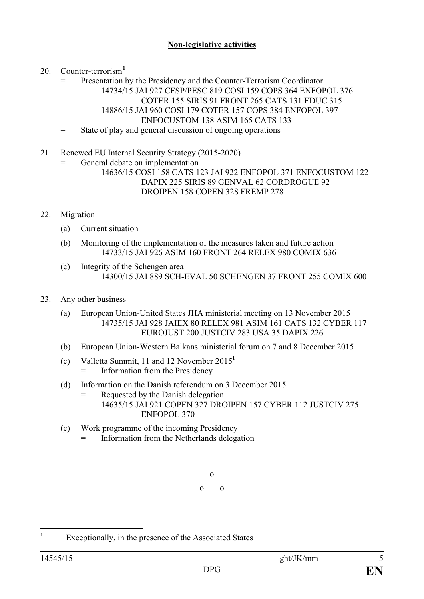### **Non-legislative activities**

20. Counter-terrorism**[1](#page-4-0)**

Presentation by the Presidency and the Counter-Terrorism Coordinator 14734/15 JAI 927 CFSP/PESC 819 COSI 159 COPS 364 ENFOPOL 376 COTER 155 SIRIS 91 FRONT 265 CATS 131 EDUC 315 14886/15 JAI 960 COSI 179 COTER 157 COPS 384 ENFOPOL 397 ENFOCUSTOM 138 ASIM 165 CATS 133 = State of play and general discussion of ongoing operations

21. Renewed EU Internal Security Strategy (2015-2020)

General debate on implementation

14636/15 COSI 158 CATS 123 JAI 922 ENFOPOL 371 ENFOCUSTOM 122 DAPIX 225 SIRIS 89 GENVAL 62 CORDROGUE 92 DROIPEN 158 COPEN 328 FREMP 278

### 22. Migration

- (a) Current situation
- (b) Monitoring of the implementation of the measures taken and future action 14733/15 JAI 926 ASIM 160 FRONT 264 RELEX 980 COMIX 636
- (c) Integrity of the Schengen area 14300/15 JAI 889 SCH-EVAL 50 SCHENGEN 37 FRONT 255 COMIX 600
- 23. Any other business
	- (a) European Union-United States JHA ministerial meeting on 13 November 2015 14735/15 JAI 928 JAIEX 80 RELEX 981 ASIM 161 CATS 132 CYBER 117 EUROJUST 200 JUSTCIV 283 USA 35 DAPIX 226
	- (b) European Union-Western Balkans ministerial forum on 7 and 8 December 2015
	- (c) Valletta Summit, 11 and 12 November 2015**<sup>1</sup>** = Information from the Presidency
	- (d) Information on the Danish referendum on 3 December 2015 = Requested by the Danish delegation 14635/15 JAI 921 COPEN 327 DROIPEN 157 CYBER 112 JUSTCIV 275 ENFOPOL 370
	- (e) Work programme of the incoming Presidency Information from the Netherlands delegation

o o o

<span id="page-4-0"></span>**<sup>1</sup>** Exceptionally, in the presence of the Associated States